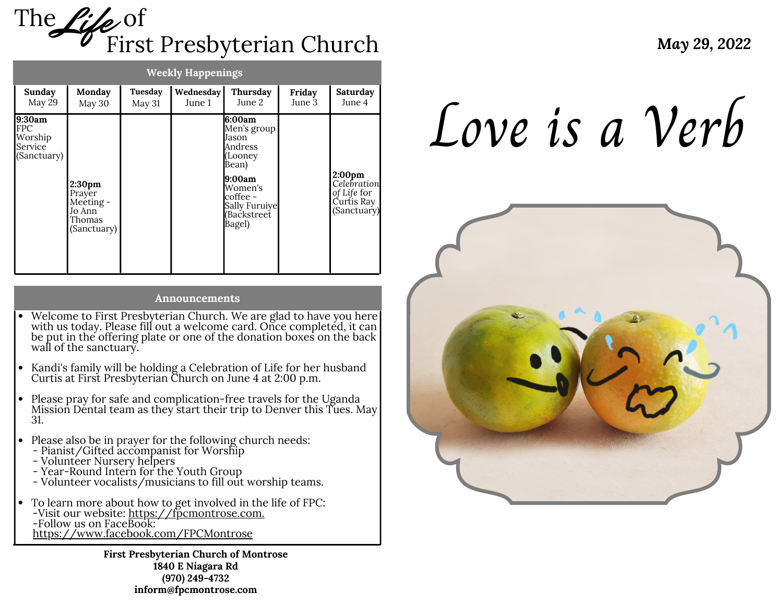

| <b>Weekly Happenings</b>                           |                                                                              |                   |                     |                                                                                                                                           |                  |                                                                               |
|----------------------------------------------------|------------------------------------------------------------------------------|-------------------|---------------------|-------------------------------------------------------------------------------------------------------------------------------------------|------------------|-------------------------------------------------------------------------------|
| Sunday<br>May 29                                   | Monday<br>May 30                                                             | Tuesday<br>May 31 | Wednesday<br>June 1 | Thursday<br>June 2                                                                                                                        | Friday<br>June 3 | Saturday<br>June 4                                                            |
| 9:30am<br>FPC<br>Worship<br>Service<br>(Sanctuary) | 2:30 <sub>pm</sub><br>Prayer<br>Meeting -<br>Jo Ann<br>Thomas<br>(Sanctuary) |                   |                     | 6:00am<br>Men's group<br>Jason<br>Andress<br>(Looney<br>Bean)<br>9:00am<br>Women's<br>coffee -<br>Sally Furuiye<br>(Backstreet)<br>Bagel) |                  | 2:00 <sub>pm</sub><br>Celebration<br>of Life for<br>Čurtis Ray<br>(Sanctuary) |

#### **Announcements**

- Welcome to First Presbyterian Church. We are glad to have you here with us today. Please fill out a welcome card. Once completed, it can be put in the offering plate or one of the donation boxes on the back wall of the sanctuary.
- Kandi's family will be holding a Celebration of Life for her husband Curtis at First Presbyterian Church on June 4 at 2:00 p.m.
- Please pray for safe and complication-free travels for the Uganda Mission Dental team as they start their trip to Denver this Tues. May 31.
- Please also be in prayer for the following church needs:
- Pianist/Gifted accompanist for Worship
- Volunteer Nursery helpers
- Year-Round Intern for the Youth Group
- Volunteer vocalists/musicians to fill out worship teams.
- To learn more about how to get involved in the life of FPC: -Visit our website: <u>[https://fpcmontrose.com.](https://fpcmontrose.com/)</u> -Follow us on FaceBook: h[ttps://www.facebook.com/FPCMontrose](https://www.facebook.com/FPCMontrose/)

**First Presbyterian Church of Montrose 1840 E Niagara Rd (970) 249-4732 inform@fpcmontrose.com**

Love is a Verb